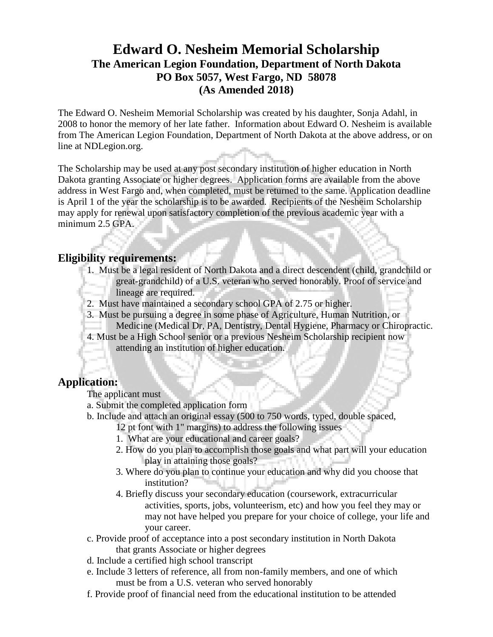## **Edward O. Nesheim Memorial Scholarship The American Legion Foundation, Department of North Dakota PO Box 5057, West Fargo, ND 58078 (As Amended 2018)**

The Edward O. Nesheim Memorial Scholarship was created by his daughter, Sonja Adahl, in 2008 to honor the memory of her late father. Information about Edward O. Nesheim is available from The American Legion Foundation, Department of North Dakota at the above address, or on line at NDLegion.org.

The Scholarship may be used at any post secondary institution of higher education in North Dakota granting Associate or higher degrees. Application forms are available from the above address in West Fargo and, when completed, must be returned to the same. Application deadline is April 1 of the year the scholarship is to be awarded. Recipients of the Nesheim Scholarship may apply for renewal upon satisfactory completion of the previous academic year with a minimum 2.5 GPA.

### **Eligibility requirements:**

- 1. Must be a legal resident of North Dakota and a direct descendent (child, grandchild or great-grandchild) of a U.S. veteran who served honorably. Proof of service and lineage are required.
- 2. Must have maintained a secondary school GPA of 2.75 or higher.
- 3. Must be pursuing a degree in some phase of Agriculture, Human Nutrition, or
	- Medicine (Medical Dr, PA, Dentistry, Dental Hygiene, Pharmacy or Chiropractic.
- 4. Must be a High School senior or a previous Nesheim Scholarship recipient now attending an institution of higher education.

## **Application:**

- The applicant must
- a. Submit the completed application form
- b. Include and attach an original essay (500 to 750 words, typed, double spaced,
	- 12 pt font with 1" margins) to address the following issues
	- 1. What are your educational and career goals?
	- 2. How do you plan to accomplish those goals and what part will your education play in attaining those goals?
	- 3. Where do you plan to continue your education and why did you choose that institution?
	- 4. Briefly discuss your secondary education (coursework, extracurricular activities, sports, jobs, volunteerism, etc) and how you feel they may or may not have helped you prepare for your choice of college, your life and your career.
- c. Provide proof of acceptance into a post secondary institution in North Dakota that grants Associate or higher degrees
- d. Include a certified high school transcript
- e. Include 3 letters of reference, all from non-family members, and one of which must be from a U.S. veteran who served honorably
- f. Provide proof of financial need from the educational institution to be attended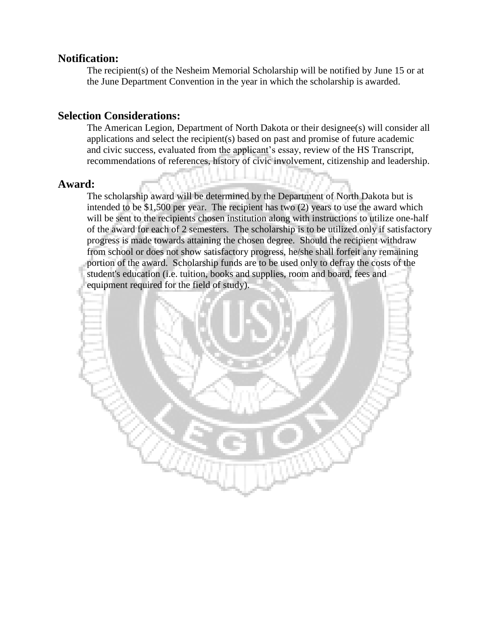#### **Notification:**

The recipient(s) of the Nesheim Memorial Scholarship will be notified by June 15 or at the June Department Convention in the year in which the scholarship is awarded.

#### **Selection Considerations:**

The American Legion, Department of North Dakota or their designee(s) will consider all applications and select the recipient(s) based on past and promise of future academic and civic success, evaluated from the applicant's essay, review of the HS Transcript, recommendations of references, history of civic involvement, citizenship and leadership.

#### **Award:**

The scholarship award will be determined by the Department of North Dakota but is intended to be \$1,500 per year. The recipient has two (2) years to use the award which will be sent to the recipients chosen institution along with instructions to utilize one-half of the award for each of 2 semesters. The scholarship is to be utilized only if satisfactory progress is made towards attaining the chosen degree. Should the recipient withdraw from school or does not show satisfactory progress, he/she shall forfeit any remaining portion of the award. Scholarship funds are to be used only to defray the costs of the student's education (i.e. tuition, books and supplies, room and board, fees and equipment required for the field of study).